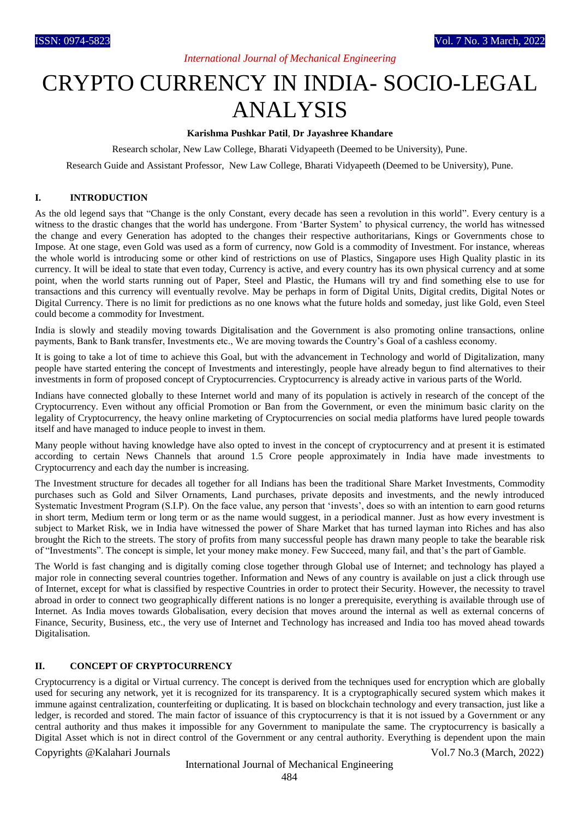# *International Journal of Mechanical Engineering*

# CRYPTO CURRENCY IN INDIA- SOCIO-LEGAL ANALYSIS

## **Karishma Pushkar Patil**, **Dr Jayashree Khandare**

Research scholar, New Law College, Bharati Vidyapeeth (Deemed to be University), Pune.

Research Guide and Assistant Professor, New Law College, Bharati Vidyapeeth (Deemed to be University), Pune.

### **I. INTRODUCTION**

As the old legend says that "Change is the only Constant, every decade has seen a revolution in this world". Every century is a witness to the drastic changes that the world has undergone. From 'Barter System' to physical currency, the world has witnessed the change and every Generation has adopted to the changes their respective authoritarians, Kings or Governments chose to Impose. At one stage, even Gold was used as a form of currency, now Gold is a commodity of Investment. For instance, whereas the whole world is introducing some or other kind of restrictions on use of Plastics, Singapore uses High Quality plastic in its currency. It will be ideal to state that even today, Currency is active, and every country has its own physical currency and at some point, when the world starts running out of Paper, Steel and Plastic, the Humans will try and find something else to use for transactions and this currency will eventually revolve. May be perhaps in form of Digital Units, Digital credits, Digital Notes or Digital Currency. There is no limit for predictions as no one knows what the future holds and someday, just like Gold, even Steel could become a commodity for Investment.

India is slowly and steadily moving towards Digitalisation and the Government is also promoting online transactions, online payments, Bank to Bank transfer, Investments etc., We are moving towards the Country's Goal of a cashless economy.

It is going to take a lot of time to achieve this Goal, but with the advancement in Technology and world of Digitalization, many people have started entering the concept of Investments and interestingly, people have already begun to find alternatives to their investments in form of proposed concept of Cryptocurrencies. Cryptocurrency is already active in various parts of the World.

Indians have connected globally to these Internet world and many of its population is actively in research of the concept of the Cryptocurrency. Even without any official Promotion or Ban from the Government, or even the minimum basic clarity on the legality of Cryptocurrency, the heavy online marketing of Cryptocurrencies on social media platforms have lured people towards itself and have managed to induce people to invest in them.

Many people without having knowledge have also opted to invest in the concept of cryptocurrency and at present it is estimated according to certain News Channels that around 1.5 Crore people approximately in India have made investments to Cryptocurrency and each day the number is increasing.

The Investment structure for decades all together for all Indians has been the traditional Share Market Investments, Commodity purchases such as Gold and Silver Ornaments, Land purchases, private deposits and investments, and the newly introduced Systematic Investment Program (S.I.P). On the face value, any person that 'invests', does so with an intention to earn good returns in short term, Medium term or long term or as the name would suggest, in a periodical manner. Just as how every investment is subject to Market Risk, we in India have witnessed the power of Share Market that has turned layman into Riches and has also brought the Rich to the streets. The story of profits from many successful people has drawn many people to take the bearable risk of "Investments". The concept is simple, let your money make money. Few Succeed, many fail, and that's the part of Gamble.

The World is fast changing and is digitally coming close together through Global use of Internet; and technology has played a major role in connecting several countries together. Information and News of any country is available on just a click through use of Internet, except for what is classified by respective Countries in order to protect their Security. However, the necessity to travel abroad in order to connect two geographically different nations is no longer a prerequisite, everything is available through use of Internet. As India moves towards Globalisation, every decision that moves around the internal as well as external concerns of Finance, Security, Business, etc., the very use of Internet and Technology has increased and India too has moved ahead towards Digitalisation.

## **II. CONCEPT OF CRYPTOCURRENCY**

Cryptocurrency is a digital or Virtual currency. The concept is derived from the techniques used for encryption which are globally used for securing any network, yet it is recognized for its transparency. It is a cryptographically secured system which makes it immune against centralization, counterfeiting or duplicating. It is based on blockchain technology and every transaction, just like a ledger, is recorded and stored. The main factor of issuance of this cryptocurrency is that it is not issued by a Government or any central authority and thus makes it impossible for any Government to manipulate the same. The cryptocurrency is basically a Digital Asset which is not in direct control of the Government or any central authority. Everything is dependent upon the main

#### Copyrights @Kalahari Journals Vol.7 No.3 (March, 2022)

# International Journal of Mechanical Engineering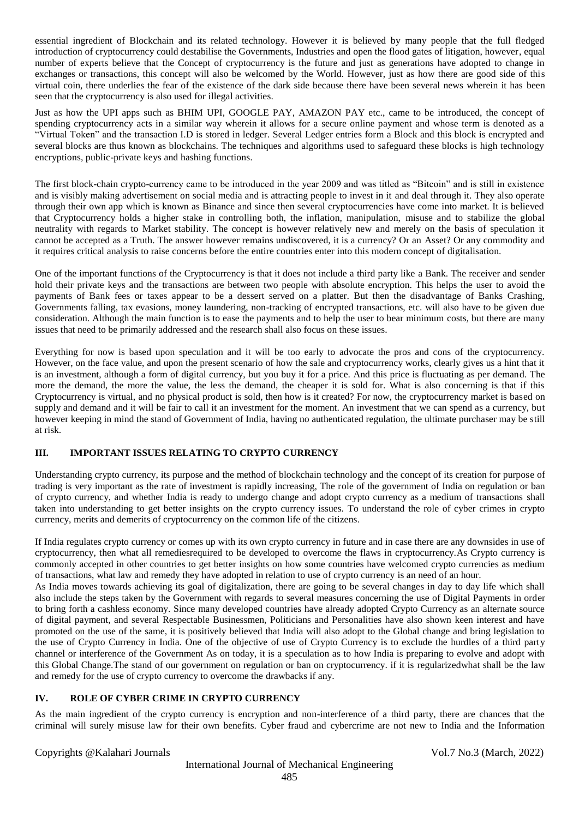essential ingredient of Blockchain and its related technology. However it is believed by many people that the full fledged introduction of cryptocurrency could destabilise the Governments, Industries and open the flood gates of litigation, however, equal number of experts believe that the Concept of cryptocurrency is the future and just as generations have adopted to change in exchanges or transactions, this concept will also be welcomed by the World. However, just as how there are good side of this virtual coin, there underlies the fear of the existence of the dark side because there have been several news wherein it has been seen that the cryptocurrency is also used for illegal activities.

Just as how the UPI apps such as BHIM UPI, GOOGLE PAY, AMAZON PAY etc., came to be introduced, the concept of spending cryptocurrency acts in a similar way wherein it allows for a secure online payment and whose term is denoted as a "Virtual Token" and the transaction I.D is stored in ledger. Several Ledger entries form a Block and this block is encrypted and several blocks are thus known as blockchains. The techniques and algorithms used to safeguard these blocks is high technology encryptions, public-private keys and hashing functions.

The first block-chain crypto-currency came to be introduced in the year 2009 and was titled as "Bitcoin" and is still in existence and is visibly making advertisement on social media and is attracting people to invest in it and deal through it. They also operate through their own app which is known as Binance and since then several cryptocurrencies have come into market. It is believed that Cryptocurrency holds a higher stake in controlling both, the inflation, manipulation, misuse and to stabilize the global neutrality with regards to Market stability. The concept is however relatively new and merely on the basis of speculation it cannot be accepted as a Truth. The answer however remains undiscovered, it is a currency? Or an Asset? Or any commodity and it requires critical analysis to raise concerns before the entire countries enter into this modern concept of digitalisation.

One of the important functions of the Cryptocurrency is that it does not include a third party like a Bank. The receiver and sender hold their private keys and the transactions are between two people with absolute encryption. This helps the user to avoid the payments of Bank fees or taxes appear to be a dessert served on a platter. But then the disadvantage of Banks Crashing, Governments falling, tax evasions, money laundering, non-tracking of encrypted transactions, etc. will also have to be given due consideration. Although the main function is to ease the payments and to help the user to bear minimum costs, but there are many issues that need to be primarily addressed and the research shall also focus on these issues.

Everything for now is based upon speculation and it will be too early to advocate the pros and cons of the cryptocurrency. However, on the face value, and upon the present scenario of how the sale and cryptocurrency works, clearly gives us a hint that it is an investment, although a form of digital currency, but you buy it for a price. And this price is fluctuating as per demand. The more the demand, the more the value, the less the demand, the cheaper it is sold for. What is also concerning is that if this Cryptocurrency is virtual, and no physical product is sold, then how is it created? For now, the cryptocurrency market is based on supply and demand and it will be fair to call it an investment for the moment. An investment that we can spend as a currency, but however keeping in mind the stand of Government of India, having no authenticated regulation, the ultimate purchaser may be still at risk.

# **III. IMPORTANT ISSUES RELATING TO CRYPTO CURRENCY**

Understanding crypto currency, its purpose and the method of blockchain technology and the concept of its creation for purpose of trading is very important as the rate of investment is rapidly increasing, The role of the government of India on regulation or ban of crypto currency, and whether India is ready to undergo change and adopt crypto currency as a medium of transactions shall taken into understanding to get better insights on the crypto currency issues. To understand the role of cyber crimes in crypto currency, merits and demerits of cryptocurrency on the common life of the citizens.

If India regulates crypto currency or comes up with its own crypto currency in future and in case there are any downsides in use of cryptocurrency, then what all remediesrequired to be developed to overcome the flaws in cryptocurrency.As Crypto currency is commonly accepted in other countries to get better insights on how some countries have welcomed crypto currencies as medium of transactions, what law and remedy they have adopted in relation to use of crypto currency is an need of an hour.

As India moves towards achieving its goal of digitalization, there are going to be several changes in day to day life which shall also include the steps taken by the Government with regards to several measures concerning the use of Digital Payments in order to bring forth a cashless economy. Since many developed countries have already adopted Crypto Currency as an alternate source of digital payment, and several Respectable Businessmen, Politicians and Personalities have also shown keen interest and have promoted on the use of the same, it is positively believed that India will also adopt to the Global change and bring legislation to the use of Crypto Currency in India. One of the objective of use of Crypto Currency is to exclude the hurdles of a third party channel or interference of the Government As on today, it is a speculation as to how India is preparing to evolve and adopt with this Global Change.The stand of our government on regulation or ban on cryptocurrency. if it is regularizedwhat shall be the law and remedy for the use of crypto currency to overcome the drawbacks if any.

# **IV. ROLE OF CYBER CRIME IN CRYPTO CURRENCY**

As the main ingredient of the crypto currency is encryption and non-interference of a third party, there are chances that the criminal will surely misuse law for their own benefits. Cyber fraud and cybercrime are not new to India and the Information

# Copyrights @Kalahari Journals Vol.7 No.3 (March, 2022)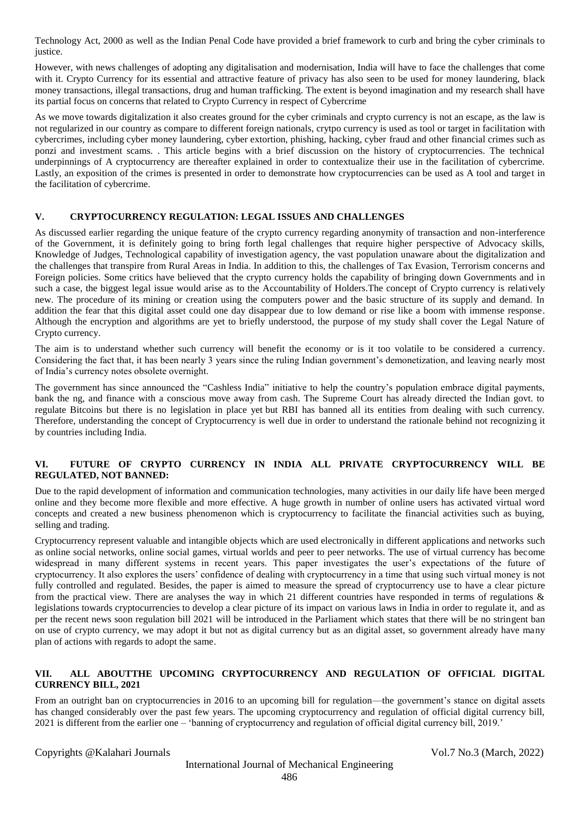Technology Act, 2000 as well as the Indian Penal Code have provided a brief framework to curb and bring the cyber criminals to justice.

However, with news challenges of adopting any digitalisation and modernisation, India will have to face the challenges that come with it. Crypto Currency for its essential and attractive feature of privacy has also seen to be used for money laundering, black money transactions, illegal transactions, drug and human trafficking. The extent is beyond imagination and my research shall have its partial focus on concerns that related to Crypto Currency in respect of Cybercrime

As we move towards digitalization it also creates ground for the cyber criminals and crypto currency is not an escape, as the law is not regularized in our country as compare to different foreign nationals, crytpo currency is used as tool or target in facilitation with cybercrimes, including cyber money laundering, cyber extortion, phishing, hacking, cyber fraud and other financial crimes such as ponzi and investment scams. . This article begins with a brief discussion on the history of cryptocurrencies. The technical underpinnings of A cryptocurrency are thereafter explained in order to contextualize their use in the facilitation of cybercrime. Lastly, an exposition of the crimes is presented in order to demonstrate how cryptocurrencies can be used as A tool and target in the facilitation of cybercrime.

## **V. CRYPTOCURRENCY REGULATION: LEGAL ISSUES AND CHALLENGES**

As discussed earlier regarding the unique feature of the crypto currency regarding anonymity of transaction and non-interference of the Government, it is definitely going to bring forth legal challenges that require higher perspective of Advocacy skills, Knowledge of Judges, Technological capability of investigation agency, the vast population unaware about the digitalization and the challenges that transpire from Rural Areas in India. In addition to this, the challenges of Tax Evasion, Terrorism concerns and Foreign policies. Some critics have believed that the crypto currency holds the capability of bringing down Governments and in such a case, the biggest legal issue would arise as to the Accountability of Holders.The concept of Crypto currency is relatively new. The procedure of its mining or creation using the computers power and the basic structure of its supply and demand. In addition the fear that this digital asset could one day disappear due to low demand or rise like a boom with immense response. Although the encryption and algorithms are yet to briefly understood, the purpose of my study shall cover the Legal Nature of Crypto currency.

The aim is to understand whether such currency will benefit the economy or is it too volatile to be considered a currency. Considering the fact that, it has been nearly 3 years since the ruling Indian government's demonetization, and leaving nearly most of India's currency notes obsolete overnight.

The government has since announced the "Cashless India" initiative to help the country's population embrace digital payments, bank the ng, and finance with a conscious move away from cash. The Supreme Court has already directed the Indian govt. to regulate Bitcoins but there is no legislation in place yet but RBI has banned all its entities from dealing with such currency. Therefore, understanding the concept of Cryptocurrency is well due in order to understand the rationale behind not recognizing it by countries including India.

## **VI. FUTURE OF CRYPTO CURRENCY IN INDIA ALL PRIVATE CRYPTOCURRENCY WILL BE REGULATED, NOT BANNED:**

Due to the rapid development of information and communication technologies, many activities in our daily life have been merged online and they become more flexible and more effective. A huge growth in number of online users has activated virtual word concepts and created a new business phenomenon which is cryptocurrency to facilitate the financial activities such as buying, selling and trading.

Cryptocurrency represent valuable and intangible objects which are used electronically in different applications and networks such as online social networks, online social games, virtual worlds and peer to peer networks. The use of virtual currency has become widespread in many different systems in recent years. This paper investigates the user's expectations of the future of cryptocurrency. It also explores the users' confidence of dealing with cryptocurrency in a time that using such virtual money is not fully controlled and regulated. Besides, the paper is aimed to measure the spread of cryptocurrency use to have a clear picture from the practical view. There are analyses the way in which 21 different countries have responded in terms of regulations  $\&$ legislations towards cryptocurrencies to develop a clear picture of its impact on various laws in India in order to regulate it, and as per the recent news soon regulation bill 2021 will be introduced in the Parliament which states that there will be no stringent ban on use of crypto currency, we may adopt it but not as digital currency but as an digital asset, so government already have many plan of actions with regards to adopt the same.

# **VII. ALL ABOU[TTHE UPCOMING CRYPTOCURRENCY AND REGULATION OF OFFICIAL DIGITAL](https://indianexpress.com/article/india/govt-plans-bills-to-bar-pvt-cryptocurrency-with-a-few-exceptions-repeal-farm-laws-7638099/)  [CURRENCY BILL, 2021](https://indianexpress.com/article/india/govt-plans-bills-to-bar-pvt-cryptocurrency-with-a-few-exceptions-repeal-farm-laws-7638099/)**

From an outright ban on cryptocurrencies in 2016 to an upcoming bill for regulation—the government's stance on digital assets has changed considerably over the past few years. The upcoming cryptocurrency and regulation of official digital currency bill, 2021 is different from the earlier one – 'banning of cryptocurrency and regulation of official digital currency bill, 2019.'

Copyrights @Kalahari Journals Vol.7 No.3 (March, 2022)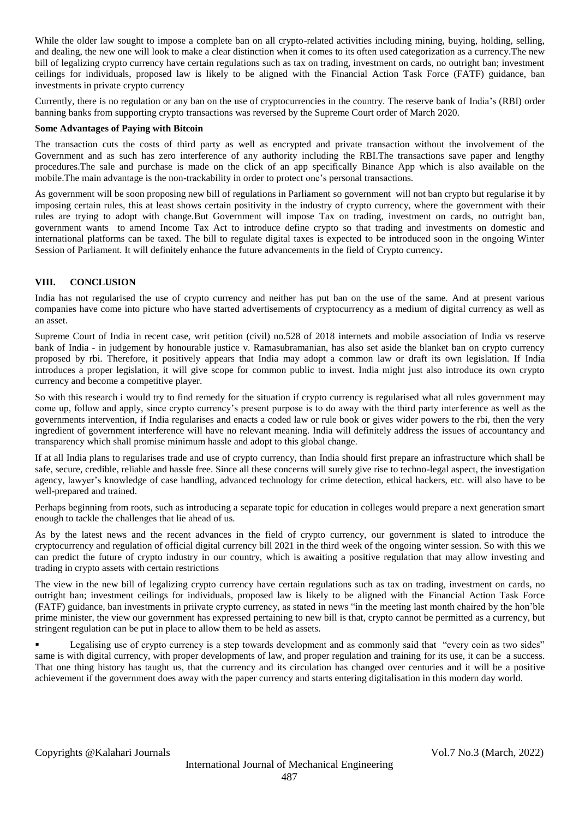While the older law sought to impose a complete ban on all crypto-related activities including mining, buying, holding, selling, and dealing, the new one will look to make a clear distinction when it comes to its often used categorization as a currency.The new bill of legalizing crypto currency have certain regulations such as tax on trading, investment on cards, no outright ban; investment ceilings for individuals, proposed law is likely to be aligned with the Financial Action Task Force (FATF) guidance, ban investments in private crypto currency

Currently, there is no regulation or any ban on the use of cryptocurrencies in the country. The reserve bank of India's (RBI) order banning banks from supporting crypto transactions was reversed by the Supreme Court order of March 2020.

## **Some Advantages of Paying with Bitcoin**

The transaction cuts the costs of third party as well as encrypted and private transaction without the involvement of the Government and as such has zero interference of any authority including the RBI.The transactions save paper and lengthy procedures.The sale and purchase is made on the click of an app specifically Binance App which is also available on the mobile.The main advantage is the non-trackability in order to protect one's personal transactions.

As government will be soon proposing new bill of regulations in Parliament so government will not ban crypto but regularise it by imposing certain rules, this at least shows certain positivity in the industry of crypto currency, where the government with their rules are trying to adopt with change.But Government will impose Tax on trading, investment on cards, no outright ban, government wants to amend Income Tax Act to introduce define crypto so that trading and investments on domestic and international platforms can be taxed. The bill to regulate digital taxes is expected to be introduced soon in the ongoing Winter Session of Parliament. It will definitely enhance the future advancements in the field of Crypto currency**.**

## **VIII. CONCLUSION**

India has not regularised the use of crypto currency and neither has put ban on the use of the same. And at present various companies have come into picture who have started advertisements of cryptocurrency as a medium of digital currency as well as an asset.

Supreme Court of India in recent case, writ petition (civil) no.528 of 2018 internets and mobile association of India vs reserve bank of India - in judgement by honourable justice v. Ramasubramanian, has also set aside the blanket ban on crypto currency proposed by rbi. Therefore, it positively appears that India may adopt a common law or draft its own legislation. If India introduces a proper legislation, it will give scope for common public to invest. India might just also introduce its own crypto currency and become a competitive player.

So with this research i would try to find remedy for the situation if crypto currency is regularised what all rules government may come up, follow and apply, since crypto currency's present purpose is to do away with the third party interference as well as the governments intervention, if India regularises and enacts a coded law or rule book or gives wider powers to the rbi, then the very ingredient of government interference will have no relevant meaning. India will definitely address the issues of accountancy and transparency which shall promise minimum hassle and adopt to this global change.

If at all India plans to regularises trade and use of crypto currency, than India should first prepare an infrastructure which shall be safe, secure, credible, reliable and hassle free. Since all these concerns will surely give rise to techno-legal aspect, the investigation agency, lawyer's knowledge of case handling, advanced technology for crime detection, ethical hackers, etc. will also have to be well-prepared and trained.

Perhaps beginning from roots, such as introducing a separate topic for education in colleges would prepare a next generation smart enough to tackle the challenges that lie ahead of us.

As by the latest news and the recent advances in the field of crypto currency, our government is slated to introduce the cryptocurrency and regulation of official digital currency bill 2021 in the third week of the ongoing winter session. So with this we can predict the future of crypto industry in our country, which is awaiting a positive regulation that may allow investing and trading in crypto assets with certain restrictions

The view in the new bill of legalizing crypto currency have certain regulations such as tax on trading, investment on cards, no outright ban; investment ceilings for individuals, proposed law is likely to be aligned with the Financial Action Task Force (FATF) guidance, ban investments in priivate crypto currency, as stated in news "in the meeting last month chaired by the hon'ble prime minister, the view our government has expressed pertaining to new bill is that, crypto cannot be permitted as a currency, but stringent regulation can be put in place to allow them to be held as assets.

Legalising use of crypto currency is a step towards development and as commonly said that "every coin as two sides" same is with digital currency, with proper developments of law, and proper regulation and training for its use, it can be a success. That one thing history has taught us, that the currency and its circulation has changed over centuries and it will be a positive achievement if the government does away with the paper currency and starts entering digitalisation in this modern day world.